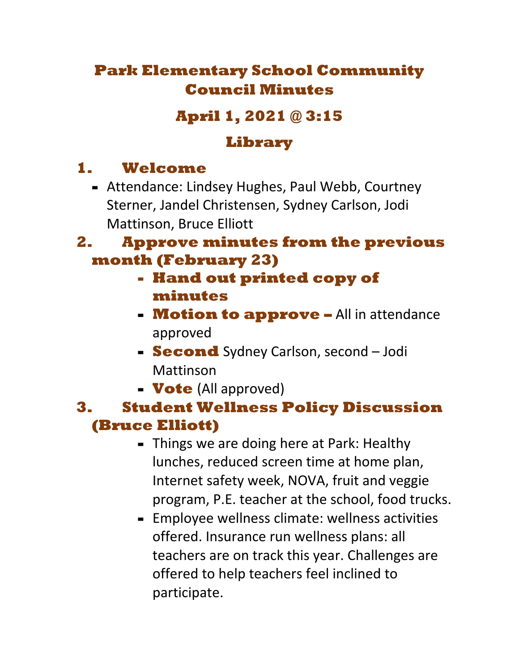# **Park Elementary School Community Council Minutes**

# **April 1, 2021 @ 3:15**

### **Library**

# **1. Welcome**

**-** Attendance: Lindsey Hughes, Paul Webb, Courtney Sterner, Jandel Christensen, Sydney Carlson, Jodi Mattinson, Bruce Elliott

### **2. Approve minutes from the previous month (February 23)**

- **- Hand out printed copy of minutes**
- **- Motion to approve –** All in attendance approved
- **- Second** Sydney Carlson, second Jodi Mattinson
- **- Vote** (All approved)

### **3. Student Wellness Policy Discussion (Bruce Elliott)**

- **-** Things we are doing here at Park: Healthy lunches, reduced screen time at home plan, Internet safety week, NOVA, fruit and veggie program, P.E. teacher at the school, food trucks.
- **-** Employee wellness climate: wellness activities offered. Insurance run wellness plans: all teachers are on track this year. Challenges are offered to help teachers feel inclined to participate.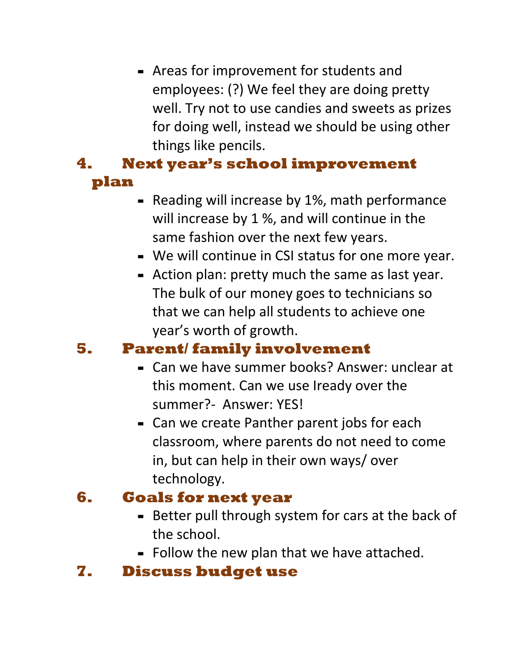**-** Areas for improvement for students and employees: (?) We feel they are doing pretty well. Try not to use candies and sweets as prizes for doing well, instead we should be using other things like pencils.

#### **4. Next year's school improvement plan**

- **-** Reading will increase by 1%, math performance will increase by 1 %, and will continue in the same fashion over the next few years.
- **-** We will continue in CSI status for one more year.
- **-** Action plan: pretty much the same as last year. The bulk of our money goes to technicians so that we can help all students to achieve one year's worth of growth.

## **5. Parent/ family involvement**

- **-** Can we have summer books? Answer: unclear at this moment. Can we use Iready over the summer?- Answer: YES!
- **-** Can we create Panther parent jobs for each classroom, where parents do not need to come in, but can help in their own ways/ over technology.

## **6. Goals for next year**

- **-** Better pull through system for cars at the back of the school.
- **-** Follow the new plan that we have attached.

## **7. Discuss budget use**